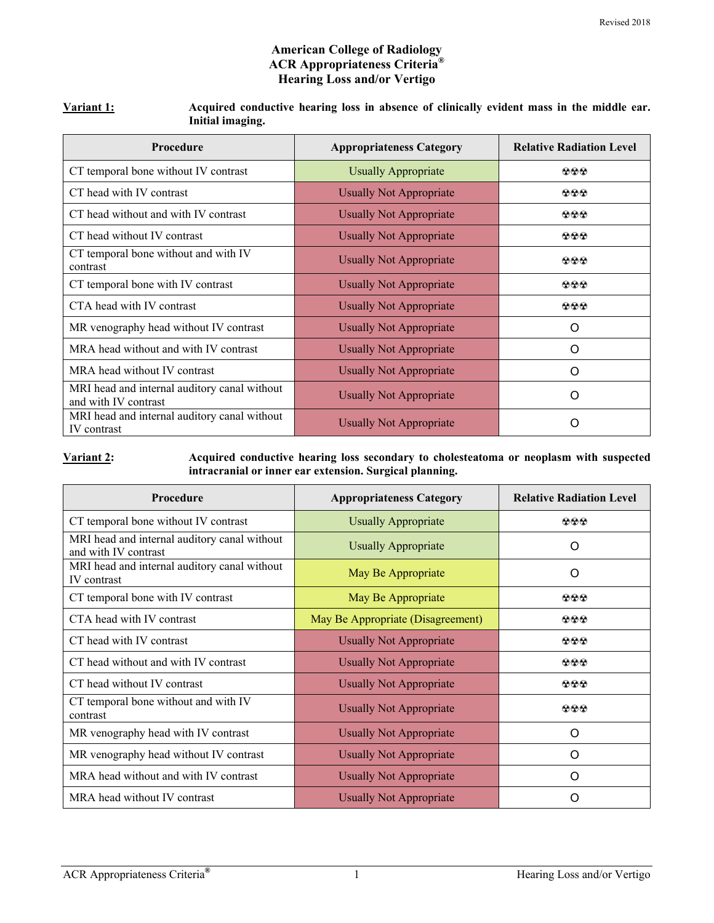## **American College of Radiology ACR Appropriateness Criteria® Hearing Loss and/or Vertigo**

| <b>Procedure</b>                                                     | <b>Appropriateness Category</b> | <b>Relative Radiation Level</b> |
|----------------------------------------------------------------------|---------------------------------|---------------------------------|
| CT temporal bone without IV contrast                                 | <b>Usually Appropriate</b>      | 000                             |
| CT head with IV contrast                                             | <b>Usually Not Appropriate</b>  | 000                             |
| CT head without and with IV contrast                                 | <b>Usually Not Appropriate</b>  | 000                             |
| CT head without IV contrast                                          | <b>Usually Not Appropriate</b>  | 000                             |
| CT temporal bone without and with IV<br>contrast                     | <b>Usually Not Appropriate</b>  | 000                             |
| CT temporal bone with IV contrast                                    | <b>Usually Not Appropriate</b>  | 000                             |
| CTA head with IV contrast                                            | <b>Usually Not Appropriate</b>  | 000                             |
| MR venography head without IV contrast                               | <b>Usually Not Appropriate</b>  | $\Omega$                        |
| MRA head without and with IV contrast                                | <b>Usually Not Appropriate</b>  | O                               |
| MRA head without IV contrast                                         | <b>Usually Not Appropriate</b>  | $\Omega$                        |
| MRI head and internal auditory canal without<br>and with IV contrast | <b>Usually Not Appropriate</b>  | $\Omega$                        |
| MRI head and internal auditory canal without<br>IV contrast          | <b>Usually Not Appropriate</b>  | Ω                               |

#### **Variant 1: Acquired conductive hearing loss in absence of clinically evident mass in the middle ear. Initial imaging.**

**Variant 2: Acquired conductive hearing loss secondary to cholesteatoma or neoplasm with suspected intracranial or inner ear extension. Surgical planning.** 

| <b>Procedure</b>                                                     | <b>Appropriateness Category</b>   | <b>Relative Radiation Level</b> |  |
|----------------------------------------------------------------------|-----------------------------------|---------------------------------|--|
| CT temporal bone without IV contrast                                 | <b>Usually Appropriate</b>        | 000                             |  |
| MRI head and internal auditory canal without<br>and with IV contrast | <b>Usually Appropriate</b>        | O                               |  |
| MRI head and internal auditory canal without<br>IV contrast          | May Be Appropriate                | $\Omega$                        |  |
| CT temporal bone with IV contrast                                    | May Be Appropriate                | 000                             |  |
| CTA head with IV contrast                                            | May Be Appropriate (Disagreement) | $\circledcirc$                  |  |
| CT head with IV contrast                                             | <b>Usually Not Appropriate</b>    | 000                             |  |
| CT head without and with IV contrast                                 | <b>Usually Not Appropriate</b>    | 000                             |  |
| CT head without IV contrast                                          | <b>Usually Not Appropriate</b>    | 000                             |  |
| CT temporal bone without and with IV<br>contrast                     | <b>Usually Not Appropriate</b>    | 000                             |  |
| MR venography head with IV contrast                                  | <b>Usually Not Appropriate</b>    | O                               |  |
| MR venography head without IV contrast                               | <b>Usually Not Appropriate</b>    | O                               |  |
| MRA head without and with IV contrast                                | <b>Usually Not Appropriate</b>    | O                               |  |
| MRA head without IV contrast                                         | <b>Usually Not Appropriate</b>    | O                               |  |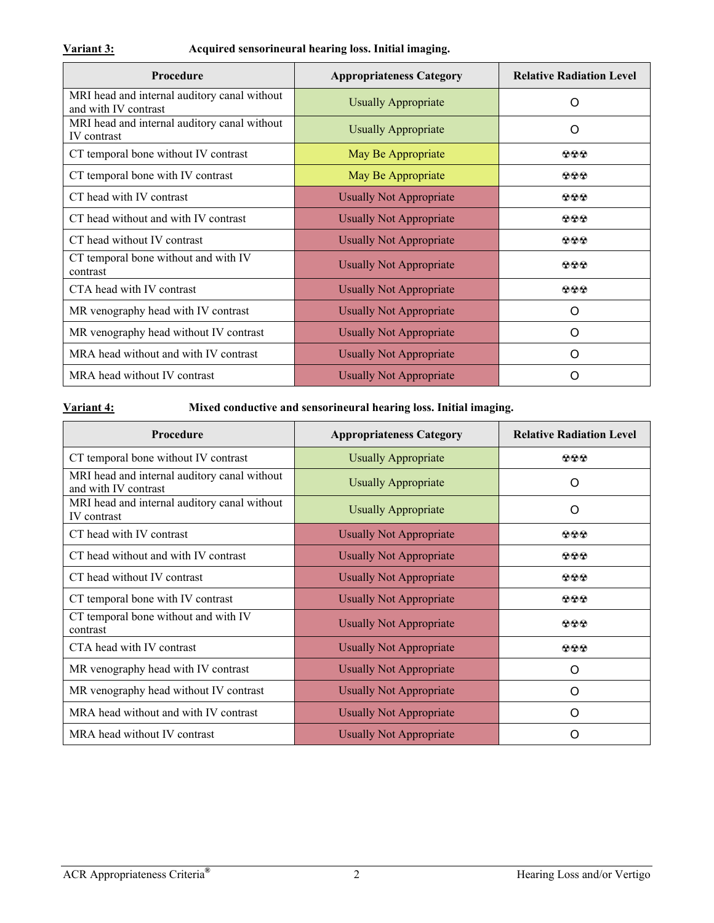# **Variant 3: Acquired sensorineural hearing loss. Initial imaging.**

| Procedure                                                            | <b>Appropriateness Category</b> | <b>Relative Radiation Level</b> |  |
|----------------------------------------------------------------------|---------------------------------|---------------------------------|--|
| MRI head and internal auditory canal without<br>and with IV contrast | <b>Usually Appropriate</b>      | $\Omega$                        |  |
| MRI head and internal auditory canal without<br>IV contrast          | <b>Usually Appropriate</b>      | O                               |  |
| CT temporal bone without IV contrast                                 | May Be Appropriate              | 000                             |  |
| CT temporal bone with IV contrast                                    | May Be Appropriate              | 000                             |  |
| CT head with IV contrast                                             | <b>Usually Not Appropriate</b>  | 000                             |  |
| CT head without and with IV contrast                                 | <b>Usually Not Appropriate</b>  | 000                             |  |
| CT head without IV contrast                                          | <b>Usually Not Appropriate</b>  | 000                             |  |
| CT temporal bone without and with IV<br>contrast                     | <b>Usually Not Appropriate</b>  | 000                             |  |
| CTA head with IV contrast                                            | <b>Usually Not Appropriate</b>  | 000                             |  |
| MR venography head with IV contrast                                  | <b>Usually Not Appropriate</b>  | O                               |  |
| MR venography head without IV contrast                               | <b>Usually Not Appropriate</b>  | $\Omega$                        |  |
| MRA head without and with IV contrast                                | <b>Usually Not Appropriate</b>  | O                               |  |
| MRA head without IV contrast                                         | <b>Usually Not Appropriate</b>  | $\Omega$                        |  |

# **Variant 4: Mixed conductive and sensorineural hearing loss. Initial imaging.**

| Procedure                                                            | <b>Appropriateness Category</b> | <b>Relative Radiation Level</b> |
|----------------------------------------------------------------------|---------------------------------|---------------------------------|
| CT temporal bone without IV contrast                                 | <b>Usually Appropriate</b>      | 000                             |
| MRI head and internal auditory canal without<br>and with IV contrast | <b>Usually Appropriate</b>      | O                               |
| MRI head and internal auditory canal without<br>IV contrast          | <b>Usually Appropriate</b>      | $\Omega$                        |
| CT head with IV contrast                                             | <b>Usually Not Appropriate</b>  | 000                             |
| CT head without and with IV contrast                                 | <b>Usually Not Appropriate</b>  | 000                             |
| CT head without IV contrast                                          | <b>Usually Not Appropriate</b>  | 000                             |
| CT temporal bone with IV contrast                                    | <b>Usually Not Appropriate</b>  | 000                             |
| CT temporal bone without and with IV<br>contrast                     | <b>Usually Not Appropriate</b>  | 000                             |
| CTA head with IV contrast                                            | <b>Usually Not Appropriate</b>  | 000                             |
| MR venography head with IV contrast                                  | <b>Usually Not Appropriate</b>  | $\Omega$                        |
| MR venography head without IV contrast                               | <b>Usually Not Appropriate</b>  | $\Omega$                        |
| MRA head without and with IV contrast                                | <b>Usually Not Appropriate</b>  | $\Omega$                        |
| MRA head without IV contrast                                         | <b>Usually Not Appropriate</b>  | Ω                               |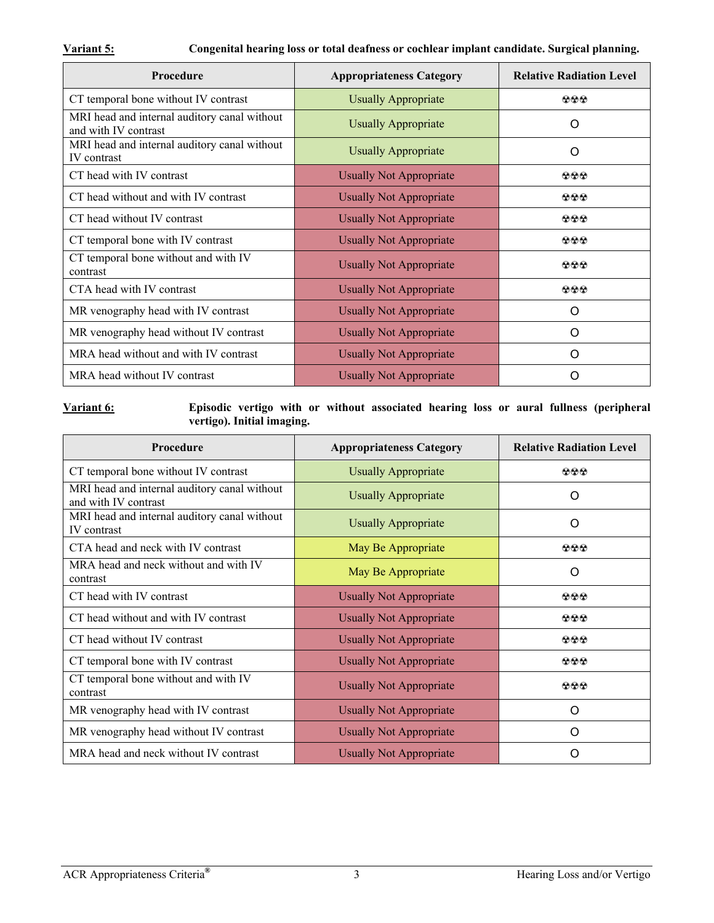| Procedure                                                            | <b>Appropriateness Category</b> | <b>Relative Radiation Level</b> |  |
|----------------------------------------------------------------------|---------------------------------|---------------------------------|--|
| CT temporal bone without IV contrast                                 | <b>Usually Appropriate</b>      | 000                             |  |
| MRI head and internal auditory canal without<br>and with IV contrast | <b>Usually Appropriate</b>      | O                               |  |
| MRI head and internal auditory canal without<br>IV contrast          | <b>Usually Appropriate</b>      | O                               |  |
| CT head with IV contrast                                             | <b>Usually Not Appropriate</b>  | 000                             |  |
| CT head without and with IV contrast                                 | <b>Usually Not Appropriate</b>  | 000                             |  |
| CT head without IV contrast                                          | <b>Usually Not Appropriate</b>  | 000                             |  |
| CT temporal bone with IV contrast                                    | <b>Usually Not Appropriate</b>  | 000                             |  |
| CT temporal bone without and with IV<br>contrast                     | <b>Usually Not Appropriate</b>  | 000                             |  |
| CTA head with IV contrast                                            | <b>Usually Not Appropriate</b>  | 000                             |  |
| MR venography head with IV contrast                                  | <b>Usually Not Appropriate</b>  | O                               |  |
| MR venography head without IV contrast                               | <b>Usually Not Appropriate</b>  | O                               |  |
| MRA head without and with IV contrast                                | <b>Usually Not Appropriate</b>  | O                               |  |
| MRA head without IV contrast                                         | <b>Usually Not Appropriate</b>  | Ω                               |  |

#### **Variant 6: Episodic vertigo with or without associated hearing loss or aural fullness (peripheral vertigo). Initial imaging.**

| <b>Procedure</b>                                                     | <b>Appropriateness Category</b> | <b>Relative Radiation Level</b> |
|----------------------------------------------------------------------|---------------------------------|---------------------------------|
| CT temporal bone without IV contrast                                 | <b>Usually Appropriate</b>      | 000                             |
| MRI head and internal auditory canal without<br>and with IV contrast | <b>Usually Appropriate</b>      | O                               |
| MRI head and internal auditory canal without<br><b>IV</b> contrast   | <b>Usually Appropriate</b>      | O                               |
| CTA head and neck with IV contrast                                   | May Be Appropriate              | 000                             |
| MRA head and neck without and with IV<br>contrast                    | May Be Appropriate              | O                               |
| CT head with IV contrast                                             | <b>Usually Not Appropriate</b>  | 000                             |
| CT head without and with IV contrast                                 | <b>Usually Not Appropriate</b>  | 000                             |
| CT head without IV contrast                                          | <b>Usually Not Appropriate</b>  | 000                             |
| CT temporal bone with IV contrast                                    | <b>Usually Not Appropriate</b>  | 000                             |
| CT temporal bone without and with IV<br>contrast                     | <b>Usually Not Appropriate</b>  | 000                             |
| MR venography head with IV contrast                                  | <b>Usually Not Appropriate</b>  | O                               |
| MR venography head without IV contrast                               | <b>Usually Not Appropriate</b>  | O                               |
| MRA head and neck without IV contrast                                | <b>Usually Not Appropriate</b>  | O                               |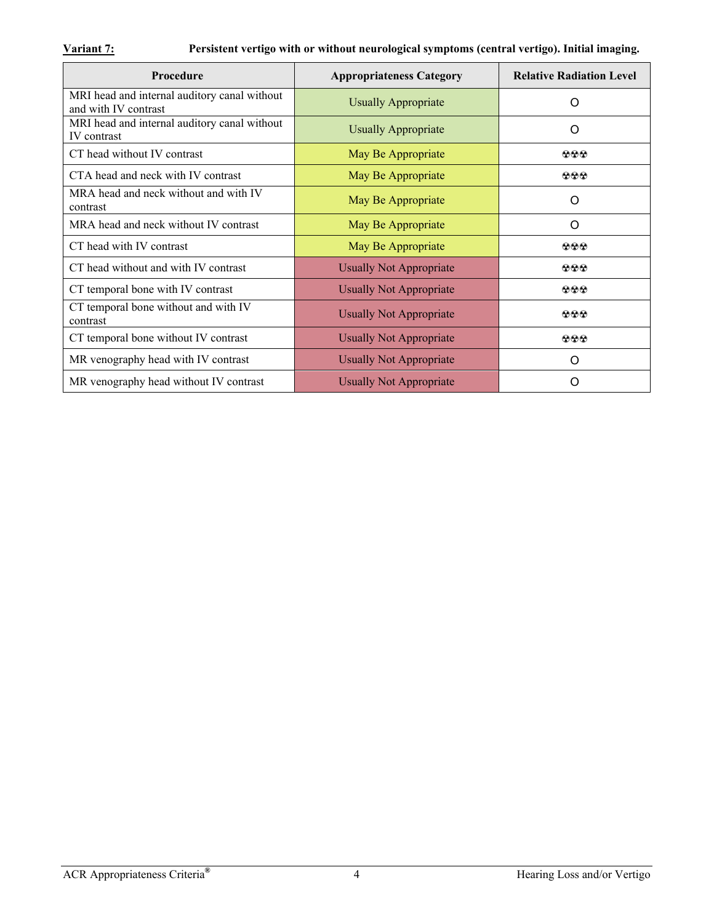| Procedure                                                            | <b>Appropriateness Category</b> | <b>Relative Radiation Level</b> |
|----------------------------------------------------------------------|---------------------------------|---------------------------------|
| MRI head and internal auditory canal without<br>and with IV contrast | <b>Usually Appropriate</b>      | Ω                               |
| MRI head and internal auditory canal without<br>IV contrast          | <b>Usually Appropriate</b>      | O                               |
| CT head without IV contrast                                          | May Be Appropriate              | 000                             |
| CTA head and neck with IV contrast                                   | May Be Appropriate              | 000                             |
| MRA head and neck without and with IV<br>contrast                    | May Be Appropriate              | Ω                               |
| MRA head and neck without IV contrast                                | May Be Appropriate              | O                               |
| CT head with IV contrast                                             | May Be Appropriate              | 000                             |
| CT head without and with IV contrast                                 | <b>Usually Not Appropriate</b>  | 000                             |
| CT temporal bone with IV contrast                                    | <b>Usually Not Appropriate</b>  | 000                             |
| CT temporal bone without and with IV<br>contrast                     | <b>Usually Not Appropriate</b>  | 000                             |
| CT temporal bone without IV contrast                                 | <b>Usually Not Appropriate</b>  | 000                             |
| MR venography head with IV contrast                                  | <b>Usually Not Appropriate</b>  | O                               |
| MR venography head without IV contrast                               | <b>Usually Not Appropriate</b>  | Ω                               |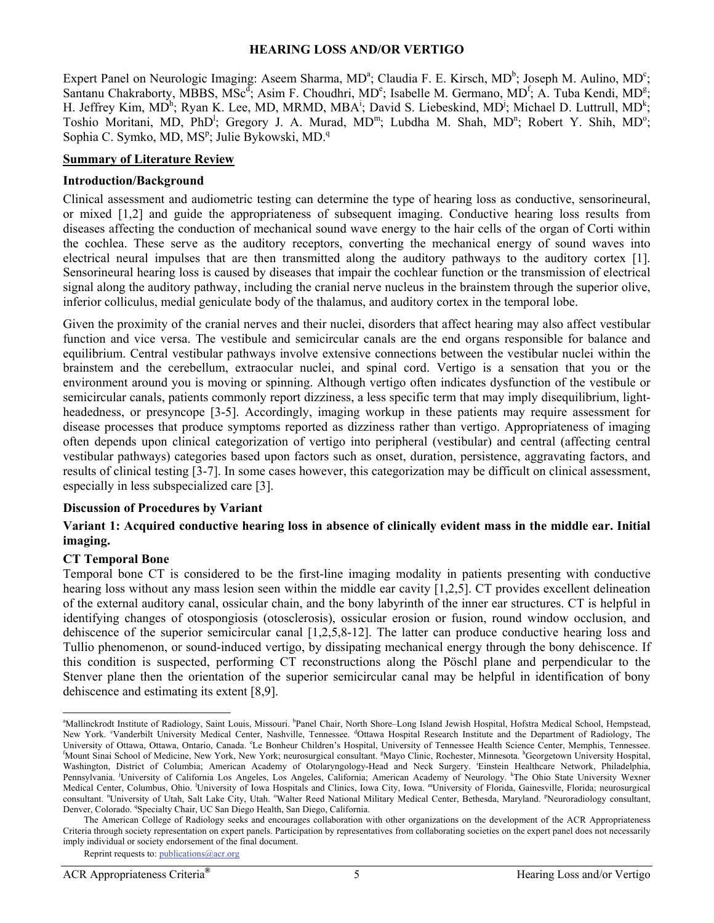#### **HEARING LOSS AND/OR VERTIGO**

Expert Panel on Neurologic Imaging: Aseem Sharma, MD<sup>a</sup>; Claudia F. E. Kirsch, MD<sup>b</sup>; Joseph M. Aulino, MD<sup>c</sup>; Santanu Chakraborty, MBBS, MSc<sup>d</sup>; Asim F. Choudhri, MD<sup>e</sup>; Isabelle M. Germano, MD<sup>f</sup>; A. Tuba Kendi, MD<sup>g</sup>; H. Jeffrey Kim, MD<sup>h</sup>; Ryan K. Lee, MD, MRMD, MBA<sup>i</sup>; David S. Liebeskind, MD<sup>j</sup>; Michael D. Luttrull, MD<sup>k</sup>; Toshio Moritani, MD, PhD<sup>1</sup>; Gregory J. A. Murad, MD<sup>m</sup>; Lubdha M. Shah, MD<sup>n</sup>; Robert Y. Shih, MD<sup>o</sup>; Sophia C. Symko, MD, MS<sup>p</sup>; Julie Bykowski, MD.<sup>q</sup>

#### **Summary of Literature Review**

#### **Introduction/Background**

Clinical assessment and audiometric testing can determine the type of hearing loss as conductive, sensorineural, or mixed [1,2] and guide the appropriateness of subsequent imaging. Conductive hearing loss results from diseases affecting the conduction of mechanical sound wave energy to the hair cells of the organ of Corti within the cochlea. These serve as the auditory receptors, converting the mechanical energy of sound waves into electrical neural impulses that are then transmitted along the auditory pathways to the auditory cortex [1]. Sensorineural hearing loss is caused by diseases that impair the cochlear function or the transmission of electrical signal along the auditory pathway, including the cranial nerve nucleus in the brainstem through the superior olive, inferior colliculus, medial geniculate body of the thalamus, and auditory cortex in the temporal lobe.

Given the proximity of the cranial nerves and their nuclei, disorders that affect hearing may also affect vestibular function and vice versa. The vestibule and semicircular canals are the end organs responsible for balance and equilibrium. Central vestibular pathways involve extensive connections between the vestibular nuclei within the brainstem and the cerebellum, extraocular nuclei, and spinal cord. Vertigo is a sensation that you or the environment around you is moving or spinning. Although vertigo often indicates dysfunction of the vestibule or semicircular canals, patients commonly report dizziness, a less specific term that may imply disequilibrium, lightheadedness, or presyncope [3-5]. Accordingly, imaging workup in these patients may require assessment for disease processes that produce symptoms reported as dizziness rather than vertigo. Appropriateness of imaging often depends upon clinical categorization of vertigo into peripheral (vestibular) and central (affecting central vestibular pathways) categories based upon factors such as onset, duration, persistence, aggravating factors, and results of clinical testing [3-7]. In some cases however, this categorization may be difficult on clinical assessment, especially in less subspecialized care [3].

# **Discussion of Procedures by Variant**

#### **Variant 1: Acquired conductive hearing loss in absence of clinically evident mass in the middle ear. Initial imaging.**

#### **CT Temporal Bone**

Temporal bone CT is considered to be the first-line imaging modality in patients presenting with conductive hearing loss without any mass lesion seen within the middle ear cavity [1,2,5]. CT provides excellent delineation of the external auditory canal, ossicular chain, and the bony labyrinth of the inner ear structures. CT is helpful in identifying changes of otospongiosis (otosclerosis), ossicular erosion or fusion, round window occlusion, and dehiscence of the superior semicircular canal [1,2,5,8-12]. The latter can produce conductive hearing loss and Tullio phenomenon, or sound-induced vertigo, by dissipating mechanical energy through the bony dehiscence. If this condition is suspected, performing CT reconstructions along the Pöschl plane and perpendicular to the Stenver plane then the orientation of the superior semicircular canal may be helpful in identification of bony dehiscence and estimating its extent [8,9].

and a Mallinckrodt Institute of Radiology, Saint Louis, Missouri. bPanel Chair, North Shore–Long Island Jewish Hospital, Hofstra Medical School, Hempstead, New York. 'Vanderbilt University Medical Center, Nashville, Tennessee. <sup>d</sup>Ottawa Hospital Research Institute and the Department of Radiology, The University of Ottawa, Ottawa, Ontario, Canada. "Le Bonheur Children's Hospital, University of Tennessee Health Science Center, Memphis, Tennessee.<br>"Mount Singi School of Medicine, New York: New York: neurogaugical consulta Mount Sinai School of Medicine, New York, New York; neurosurgical consultant. <sup>8</sup>Mayo Clinic, Rochester, Minnesota. <sup>h</sup>Georgetown University Hospital, Washington, District of Columbia; American Academy of Otolaryngology-Head and Neck Surgery. <sup>i</sup> Einstein Healthcare Network, Philadelphia, Pennsylvania. University of California Los Angeles, Los Angeles, California; American Academy of Neurology. <sup>k</sup>The Ohio State University Wexner Medical Center, Columbus, Ohio. <sup>1</sup>University of Iowa Hospitals and Clinics, Iowa City, Iowa. ""University of Florida, Gainesville, Florida; neurosurgical consultant. "University of Utah, Salt Lake City, Utah. °Walter Reed National Military Medical Center, Bethesda, Maryland. ''Neuroradiology consultant, Denver, Colorado. <sup>q</sup>Specialty Chair, UC San Diego Health, San Diego, California.

The American College of Radiology seeks and encourages collaboration with other organizations on the development of the ACR Appropriateness Criteria through society representation on expert panels. Participation by representatives from collaborating societies on the expert panel does not necessarily imply individual or society endorsement of the final document.

Reprint requests to: publications@acr.org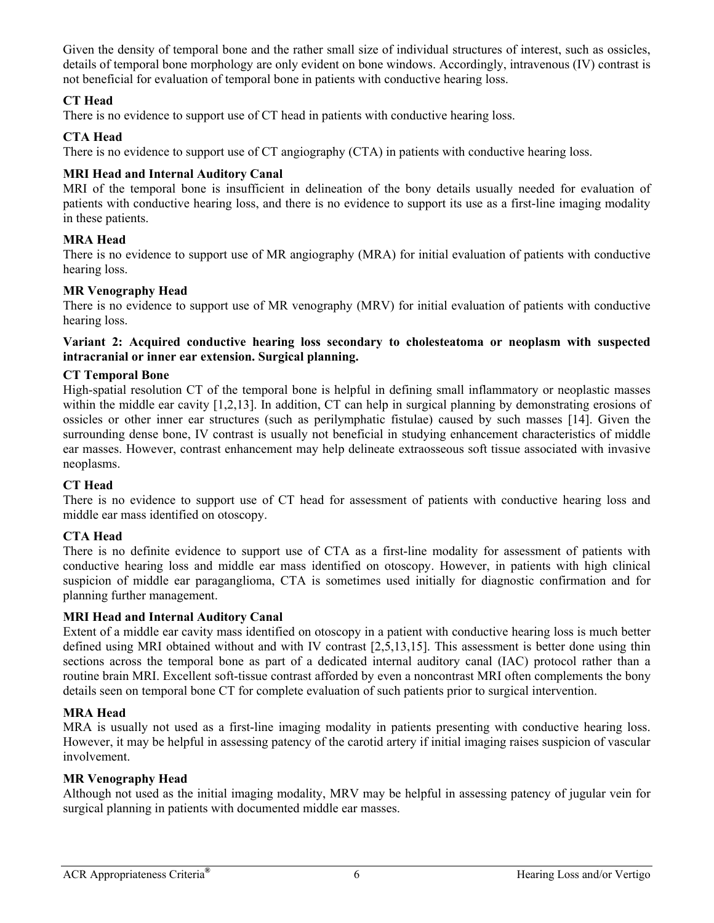Given the density of temporal bone and the rather small size of individual structures of interest, such as ossicles, details of temporal bone morphology are only evident on bone windows. Accordingly, intravenous (IV) contrast is not beneficial for evaluation of temporal bone in patients with conductive hearing loss.

# **CT Head**

There is no evidence to support use of CT head in patients with conductive hearing loss.

# **CTA Head**

There is no evidence to support use of CT angiography (CTA) in patients with conductive hearing loss.

# **MRI Head and Internal Auditory Canal**

MRI of the temporal bone is insufficient in delineation of the bony details usually needed for evaluation of patients with conductive hearing loss, and there is no evidence to support its use as a first-line imaging modality in these patients.

# **MRA Head**

There is no evidence to support use of MR angiography (MRA) for initial evaluation of patients with conductive hearing loss.

# **MR Venography Head**

There is no evidence to support use of MR venography (MRV) for initial evaluation of patients with conductive hearing loss.

#### **Variant 2: Acquired conductive hearing loss secondary to cholesteatoma or neoplasm with suspected intracranial or inner ear extension. Surgical planning.**

# **CT Temporal Bone**

High-spatial resolution CT of the temporal bone is helpful in defining small inflammatory or neoplastic masses within the middle ear cavity [1,2,13]. In addition, CT can help in surgical planning by demonstrating erosions of ossicles or other inner ear structures (such as perilymphatic fistulae) caused by such masses [14]. Given the surrounding dense bone, IV contrast is usually not beneficial in studying enhancement characteristics of middle ear masses. However, contrast enhancement may help delineate extraosseous soft tissue associated with invasive neoplasms.

#### **CT Head**

There is no evidence to support use of CT head for assessment of patients with conductive hearing loss and middle ear mass identified on otoscopy.

#### **CTA Head**

There is no definite evidence to support use of CTA as a first-line modality for assessment of patients with conductive hearing loss and middle ear mass identified on otoscopy. However, in patients with high clinical suspicion of middle ear paraganglioma, CTA is sometimes used initially for diagnostic confirmation and for planning further management.

#### **MRI Head and Internal Auditory Canal**

Extent of a middle ear cavity mass identified on otoscopy in a patient with conductive hearing loss is much better defined using MRI obtained without and with IV contrast [2,5,13,15]. This assessment is better done using thin sections across the temporal bone as part of a dedicated internal auditory canal (IAC) protocol rather than a routine brain MRI. Excellent soft-tissue contrast afforded by even a noncontrast MRI often complements the bony details seen on temporal bone CT for complete evaluation of such patients prior to surgical intervention.

#### **MRA Head**

MRA is usually not used as a first-line imaging modality in patients presenting with conductive hearing loss. However, it may be helpful in assessing patency of the carotid artery if initial imaging raises suspicion of vascular involvement.

# **MR Venography Head**

Although not used as the initial imaging modality, MRV may be helpful in assessing patency of jugular vein for surgical planning in patients with documented middle ear masses.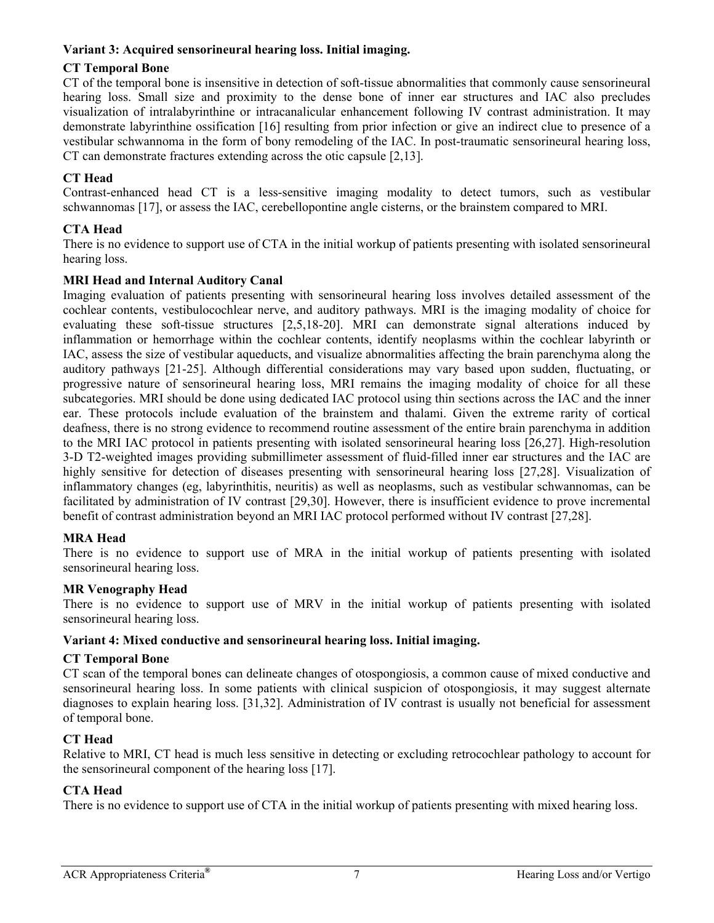# **Variant 3: Acquired sensorineural hearing loss. Initial imaging.**

## **CT Temporal Bone**

CT of the temporal bone is insensitive in detection of soft-tissue abnormalities that commonly cause sensorineural hearing loss. Small size and proximity to the dense bone of inner ear structures and IAC also precludes visualization of intralabyrinthine or intracanalicular enhancement following IV contrast administration. It may demonstrate labyrinthine ossification [16] resulting from prior infection or give an indirect clue to presence of a vestibular schwannoma in the form of bony remodeling of the IAC. In post-traumatic sensorineural hearing loss, CT can demonstrate fractures extending across the otic capsule [2,13].

#### **CT Head**

Contrast-enhanced head CT is a less-sensitive imaging modality to detect tumors, such as vestibular schwannomas [17], or assess the IAC, cerebellopontine angle cisterns, or the brainstem compared to MRI.

#### **CTA Head**

There is no evidence to support use of CTA in the initial workup of patients presenting with isolated sensorineural hearing loss.

#### **MRI Head and Internal Auditory Canal**

Imaging evaluation of patients presenting with sensorineural hearing loss involves detailed assessment of the cochlear contents, vestibulocochlear nerve, and auditory pathways. MRI is the imaging modality of choice for evaluating these soft-tissue structures [2,5,18-20]. MRI can demonstrate signal alterations induced by inflammation or hemorrhage within the cochlear contents, identify neoplasms within the cochlear labyrinth or IAC, assess the size of vestibular aqueducts, and visualize abnormalities affecting the brain parenchyma along the auditory pathways [21-25]. Although differential considerations may vary based upon sudden, fluctuating, or progressive nature of sensorineural hearing loss, MRI remains the imaging modality of choice for all these subcategories. MRI should be done using dedicated IAC protocol using thin sections across the IAC and the inner ear. These protocols include evaluation of the brainstem and thalami. Given the extreme rarity of cortical deafness, there is no strong evidence to recommend routine assessment of the entire brain parenchyma in addition to the MRI IAC protocol in patients presenting with isolated sensorineural hearing loss [26,27]. High-resolution 3-D T2-weighted images providing submillimeter assessment of fluid-filled inner ear structures and the IAC are highly sensitive for detection of diseases presenting with sensorineural hearing loss [27,28]. Visualization of inflammatory changes (eg, labyrinthitis, neuritis) as well as neoplasms, such as vestibular schwannomas, can be facilitated by administration of IV contrast [29,30]. However, there is insufficient evidence to prove incremental benefit of contrast administration beyond an MRI IAC protocol performed without IV contrast [27,28].

#### **MRA Head**

There is no evidence to support use of MRA in the initial workup of patients presenting with isolated sensorineural hearing loss.

#### **MR Venography Head**

There is no evidence to support use of MRV in the initial workup of patients presenting with isolated sensorineural hearing loss.

#### **Variant 4: Mixed conductive and sensorineural hearing loss. Initial imaging.**

#### **CT Temporal Bone**

CT scan of the temporal bones can delineate changes of otospongiosis, a common cause of mixed conductive and sensorineural hearing loss. In some patients with clinical suspicion of otospongiosis, it may suggest alternate diagnoses to explain hearing loss. [31,32]. Administration of IV contrast is usually not beneficial for assessment of temporal bone.

#### **CT Head**

Relative to MRI, CT head is much less sensitive in detecting or excluding retrocochlear pathology to account for the sensorineural component of the hearing loss [17].

#### **CTA Head**

There is no evidence to support use of CTA in the initial workup of patients presenting with mixed hearing loss.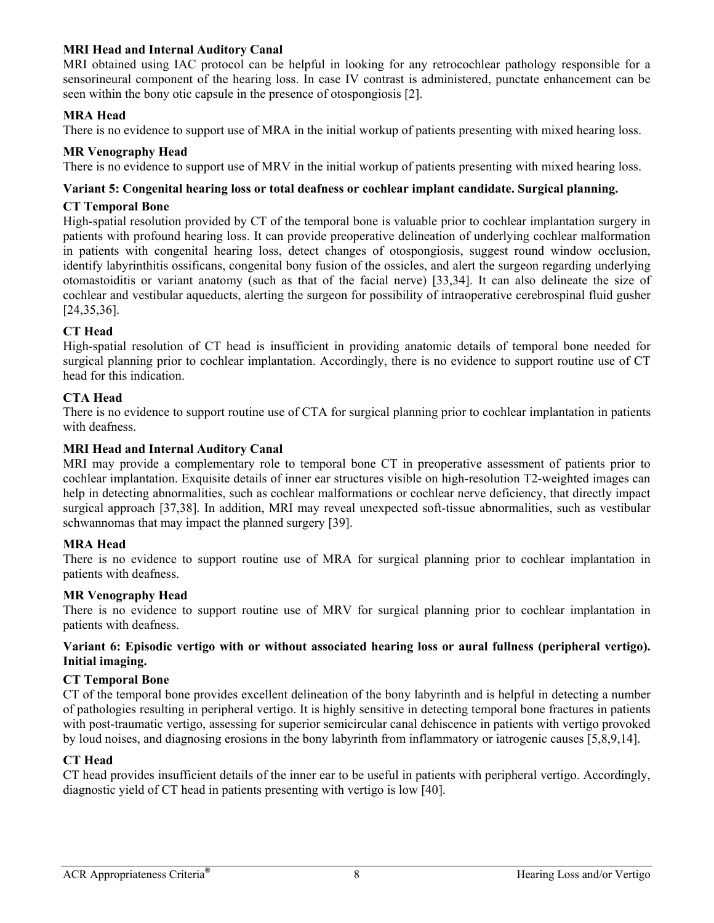# **MRI Head and Internal Auditory Canal**

MRI obtained using IAC protocol can be helpful in looking for any retrocochlear pathology responsible for a sensorineural component of the hearing loss. In case IV contrast is administered, punctate enhancement can be seen within the bony otic capsule in the presence of otospongiosis [2].

# **MRA Head**

There is no evidence to support use of MRA in the initial workup of patients presenting with mixed hearing loss.

## **MR Venography Head**

There is no evidence to support use of MRV in the initial workup of patients presenting with mixed hearing loss.

# **Variant 5: Congenital hearing loss or total deafness or cochlear implant candidate. Surgical planning.**

#### **CT Temporal Bone**

High-spatial resolution provided by CT of the temporal bone is valuable prior to cochlear implantation surgery in patients with profound hearing loss. It can provide preoperative delineation of underlying cochlear malformation in patients with congenital hearing loss, detect changes of otospongiosis, suggest round window occlusion, identify labyrinthitis ossificans, congenital bony fusion of the ossicles, and alert the surgeon regarding underlying otomastoiditis or variant anatomy (such as that of the facial nerve) [33,34]. It can also delineate the size of cochlear and vestibular aqueducts, alerting the surgeon for possibility of intraoperative cerebrospinal fluid gusher [24,35,36].

# **CT Head**

High-spatial resolution of CT head is insufficient in providing anatomic details of temporal bone needed for surgical planning prior to cochlear implantation. Accordingly, there is no evidence to support routine use of CT head for this indication.

# **CTA Head**

There is no evidence to support routine use of CTA for surgical planning prior to cochlear implantation in patients with deafness.

# **MRI Head and Internal Auditory Canal**

MRI may provide a complementary role to temporal bone CT in preoperative assessment of patients prior to cochlear implantation. Exquisite details of inner ear structures visible on high-resolution T2-weighted images can help in detecting abnormalities, such as cochlear malformations or cochlear nerve deficiency, that directly impact surgical approach [37,38]. In addition, MRI may reveal unexpected soft-tissue abnormalities, such as vestibular schwannomas that may impact the planned surgery [39].

# **MRA Head**

There is no evidence to support routine use of MRA for surgical planning prior to cochlear implantation in patients with deafness.

# **MR Venography Head**

There is no evidence to support routine use of MRV for surgical planning prior to cochlear implantation in patients with deafness.

#### **Variant 6: Episodic vertigo with or without associated hearing loss or aural fullness (peripheral vertigo). Initial imaging.**

# **CT Temporal Bone**

CT of the temporal bone provides excellent delineation of the bony labyrinth and is helpful in detecting a number of pathologies resulting in peripheral vertigo. It is highly sensitive in detecting temporal bone fractures in patients with post-traumatic vertigo, assessing for superior semicircular canal dehiscence in patients with vertigo provoked by loud noises, and diagnosing erosions in the bony labyrinth from inflammatory or iatrogenic causes [5,8,9,14].

# **CT Head**

CT head provides insufficient details of the inner ear to be useful in patients with peripheral vertigo. Accordingly, diagnostic yield of CT head in patients presenting with vertigo is low [40].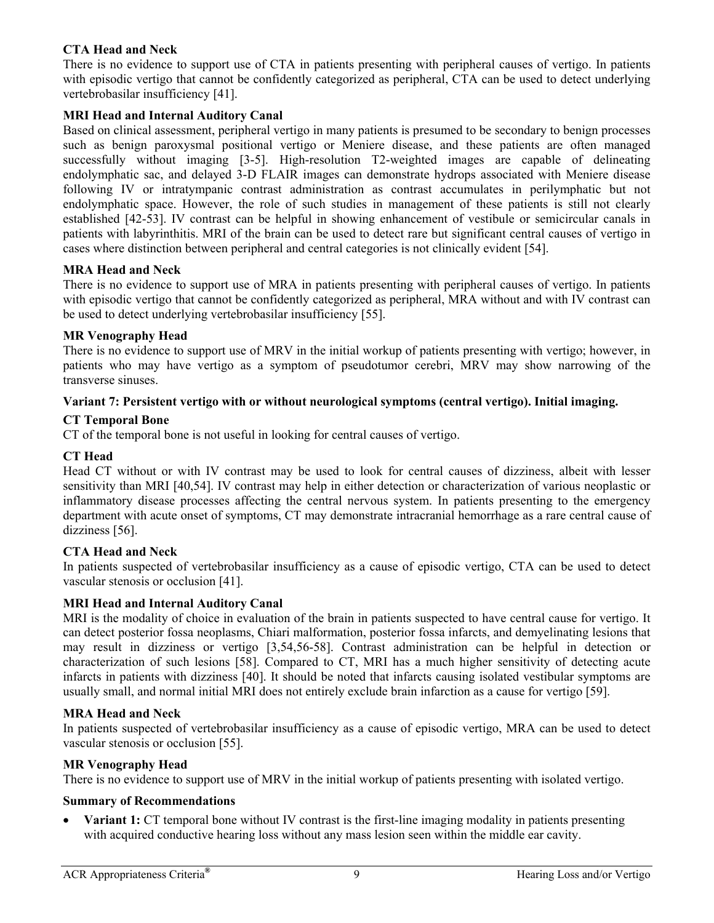# **CTA Head and Neck**

There is no evidence to support use of CTA in patients presenting with peripheral causes of vertigo. In patients with episodic vertigo that cannot be confidently categorized as peripheral, CTA can be used to detect underlying vertebrobasilar insufficiency [41].

# **MRI Head and Internal Auditory Canal**

Based on clinical assessment, peripheral vertigo in many patients is presumed to be secondary to benign processes such as benign paroxysmal positional vertigo or Meniere disease, and these patients are often managed successfully without imaging [3-5]. High-resolution T2-weighted images are capable of delineating endolymphatic sac, and delayed 3-D FLAIR images can demonstrate hydrops associated with Meniere disease following IV or intratympanic contrast administration as contrast accumulates in perilymphatic but not endolymphatic space. However, the role of such studies in management of these patients is still not clearly established [42-53]. IV contrast can be helpful in showing enhancement of vestibule or semicircular canals in patients with labyrinthitis. MRI of the brain can be used to detect rare but significant central causes of vertigo in cases where distinction between peripheral and central categories is not clinically evident [54].

# **MRA Head and Neck**

There is no evidence to support use of MRA in patients presenting with peripheral causes of vertigo. In patients with episodic vertigo that cannot be confidently categorized as peripheral, MRA without and with IV contrast can be used to detect underlying vertebrobasilar insufficiency [55].

#### **MR Venography Head**

There is no evidence to support use of MRV in the initial workup of patients presenting with vertigo; however, in patients who may have vertigo as a symptom of pseudotumor cerebri, MRV may show narrowing of the transverse sinuses.

#### **Variant 7: Persistent vertigo with or without neurological symptoms (central vertigo). Initial imaging.**

#### **CT Temporal Bone**

CT of the temporal bone is not useful in looking for central causes of vertigo.

## **CT Head**

Head CT without or with IV contrast may be used to look for central causes of dizziness, albeit with lesser sensitivity than MRI [40,54]. IV contrast may help in either detection or characterization of various neoplastic or inflammatory disease processes affecting the central nervous system. In patients presenting to the emergency department with acute onset of symptoms, CT may demonstrate intracranial hemorrhage as a rare central cause of dizziness [56].

# **CTA Head and Neck**

In patients suspected of vertebrobasilar insufficiency as a cause of episodic vertigo, CTA can be used to detect vascular stenosis or occlusion [41].

# **MRI Head and Internal Auditory Canal**

MRI is the modality of choice in evaluation of the brain in patients suspected to have central cause for vertigo. It can detect posterior fossa neoplasms, Chiari malformation, posterior fossa infarcts, and demyelinating lesions that may result in dizziness or vertigo [3,54,56-58]. Contrast administration can be helpful in detection or characterization of such lesions [58]. Compared to CT, MRI has a much higher sensitivity of detecting acute infarcts in patients with dizziness [40]. It should be noted that infarcts causing isolated vestibular symptoms are usually small, and normal initial MRI does not entirely exclude brain infarction as a cause for vertigo [59].

#### **MRA Head and Neck**

In patients suspected of vertebrobasilar insufficiency as a cause of episodic vertigo, MRA can be used to detect vascular stenosis or occlusion [55].

#### **MR Venography Head**

There is no evidence to support use of MRV in the initial workup of patients presenting with isolated vertigo.

#### **Summary of Recommendations**

 **Variant 1:** CT temporal bone without IV contrast is the first-line imaging modality in patients presenting with acquired conductive hearing loss without any mass lesion seen within the middle ear cavity.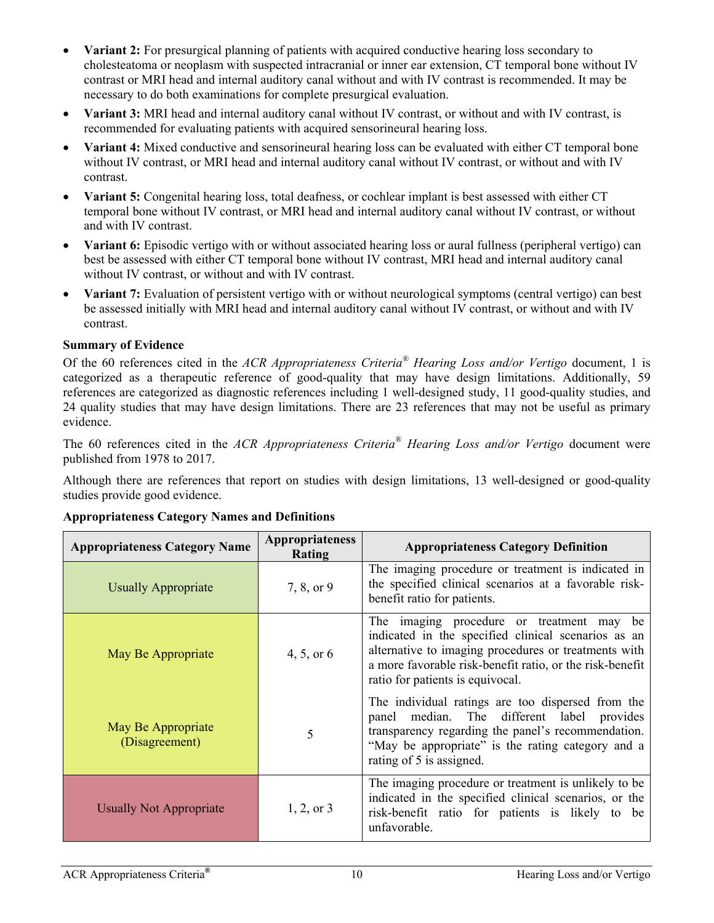- **Variant 2:** For presurgical planning of patients with acquired conductive hearing loss secondary to cholesteatoma or neoplasm with suspected intracranial or inner ear extension, CT temporal bone without IV contrast or MRI head and internal auditory canal without and with IV contrast is recommended. It may be necessary to do both examinations for complete presurgical evaluation.
- **Variant 3:** MRI head and internal auditory canal without IV contrast, or without and with IV contrast, is recommended for evaluating patients with acquired sensorineural hearing loss.
- **Variant 4:** Mixed conductive and sensorineural hearing loss can be evaluated with either CT temporal bone without IV contrast, or MRI head and internal auditory canal without IV contrast, or without and with IV contrast.
- **Variant 5:** Congenital hearing loss, total deafness, or cochlear implant is best assessed with either CT temporal bone without IV contrast, or MRI head and internal auditory canal without IV contrast, or without and with IV contrast.
- **Variant 6:** Episodic vertigo with or without associated hearing loss or aural fullness (peripheral vertigo) can best be assessed with either CT temporal bone without IV contrast, MRI head and internal auditory canal without IV contrast, or without and with IV contrast.
- **Variant 7:** Evaluation of persistent vertigo with or without neurological symptoms (central vertigo) can best be assessed initially with MRI head and internal auditory canal without IV contrast, or without and with IV contrast.

# **Summary of Evidence**

Of the 60 references cited in the *ACR Appropriateness Criteria® Hearing Loss and/or Vertigo* document, 1 is categorized as a therapeutic reference of good-quality that may have design limitations. Additionally, 59 references are categorized as diagnostic references including 1 well-designed study, 11 good-quality studies, and 24 quality studies that may have design limitations. There are 23 references that may not be useful as primary evidence.

The 60 references cited in the *ACR Appropriateness Criteria® Hearing Loss and/or Vertigo* document were published from 1978 to 2017.

Although there are references that report on studies with design limitations, 13 well-designed or good-quality studies provide good evidence.

| <b>Appropriateness Category Name</b> | Appropriateness<br>Rating | <b>Appropriateness Category Definition</b>                                                                                                                                                                                                               |
|--------------------------------------|---------------------------|----------------------------------------------------------------------------------------------------------------------------------------------------------------------------------------------------------------------------------------------------------|
| <b>Usually Appropriate</b>           | 7, 8, or 9                | The imaging procedure or treatment is indicated in<br>the specified clinical scenarios at a favorable risk-<br>benefit ratio for patients.                                                                                                               |
| May Be Appropriate                   | 4, 5, or $6$              | The imaging procedure or treatment may be<br>indicated in the specified clinical scenarios as an<br>alternative to imaging procedures or treatments with<br>a more favorable risk-benefit ratio, or the risk-benefit<br>ratio for patients is equivocal. |
| May Be Appropriate<br>(Disagreement) | 5                         | The individual ratings are too dispersed from the<br>panel median. The different label provides<br>transparency regarding the panel's recommendation.<br>"May be appropriate" is the rating category and a<br>rating of 5 is assigned.                   |
| <b>Usually Not Appropriate</b>       | $1, 2,$ or 3              | The imaging procedure or treatment is unlikely to be.<br>indicated in the specified clinical scenarios, or the<br>risk-benefit ratio for patients is likely to be<br>unfavorable.                                                                        |

# **Appropriateness Category Names and Definitions**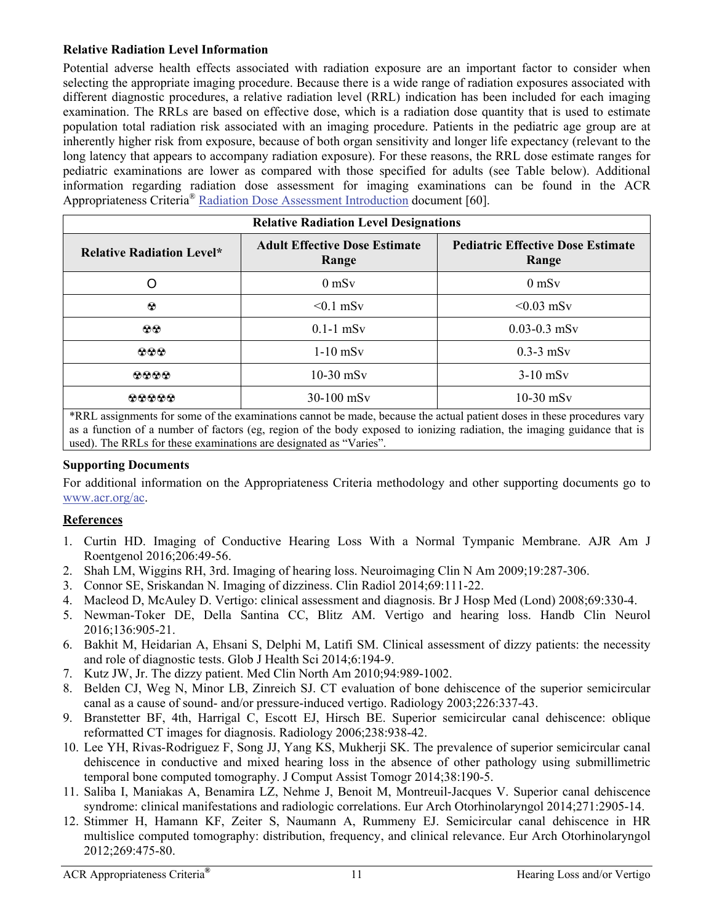# **Relative Radiation Level Information**

Potential adverse health effects associated with radiation exposure are an important factor to consider when selecting the appropriate imaging procedure. Because there is a wide range of radiation exposures associated with different diagnostic procedures, a relative radiation level (RRL) indication has been included for each imaging examination. The RRLs are based on effective dose, which is a radiation dose quantity that is used to estimate population total radiation risk associated with an imaging procedure. Patients in the pediatric age group are at inherently higher risk from exposure, because of both organ sensitivity and longer life expectancy (relevant to the long latency that appears to accompany radiation exposure). For these reasons, the RRL dose estimate ranges for pediatric examinations are lower as compared with those specified for adults (see Table below). Additional information regarding radiation dose assessment for imaging examinations can be found in the ACR Appropriateness Criteria® [Radiation Dose Assessment Introduction](https://www.acr.org/-/media/ACR/Files/Appropriateness-Criteria/RadiationDoseAssessmentIntro.pdf) document [60].

| <b>Relative Radiation Level Designations</b> |                                               |                                                   |
|----------------------------------------------|-----------------------------------------------|---------------------------------------------------|
| <b>Relative Radiation Level*</b>             | <b>Adult Effective Dose Estimate</b><br>Range | <b>Pediatric Effective Dose Estimate</b><br>Range |
|                                              | $0$ mS <sub>v</sub>                           | $0$ mS $v$                                        |
| $^\circledR$                                 | $< 0.1$ mSv                                   | $< 0.03$ mSv                                      |
| $\odot \odot$                                | $0.1-1$ mSv                                   | $0.03 - 0.3$ mSv                                  |
| 000                                          | $1-10$ mS <sub>v</sub>                        | $0.3-3$ mSv                                       |
| 0000                                         | $10-30$ mSv                                   | $3-10$ mSv                                        |
| 00000                                        | $30-100$ mS <sub>v</sub>                      | $10-30$ mSv                                       |

\*RRL assignments for some of the examinations cannot be made, because the actual patient doses in these procedures vary as a function of a number of factors (eg, region of the body exposed to ionizing radiation, the imaging guidance that is used). The RRLs for these examinations are designated as "Varies".

# **Supporting Documents**

For additional information on the Appropriateness Criteria methodology and other supporting documents go to [www.acr.org/ac.](https://www.acr.org/Clinical-Resources/ACR-Appropriateness-Criteria)

# **References**

- 1. Curtin HD. Imaging of Conductive Hearing Loss With a Normal Tympanic Membrane. AJR Am J Roentgenol 2016;206:49-56.
- 2. Shah LM, Wiggins RH, 3rd. Imaging of hearing loss. Neuroimaging Clin N Am 2009;19:287-306.
- 3. Connor SE, Sriskandan N. Imaging of dizziness. Clin Radiol 2014;69:111-22.
- 4. Macleod D, McAuley D. Vertigo: clinical assessment and diagnosis. Br J Hosp Med (Lond) 2008;69:330-4.
- 5. Newman-Toker DE, Della Santina CC, Blitz AM. Vertigo and hearing loss. Handb Clin Neurol 2016;136:905-21.
- 6. Bakhit M, Heidarian A, Ehsani S, Delphi M, Latifi SM. Clinical assessment of dizzy patients: the necessity and role of diagnostic tests. Glob J Health Sci 2014;6:194-9.
- 7. Kutz JW, Jr. The dizzy patient. Med Clin North Am 2010;94:989-1002.
- 8. Belden CJ, Weg N, Minor LB, Zinreich SJ. CT evaluation of bone dehiscence of the superior semicircular canal as a cause of sound- and/or pressure-induced vertigo. Radiology 2003;226:337-43.
- 9. Branstetter BF, 4th, Harrigal C, Escott EJ, Hirsch BE. Superior semicircular canal dehiscence: oblique reformatted CT images for diagnosis. Radiology 2006;238:938-42.
- 10. Lee YH, Rivas-Rodriguez F, Song JJ, Yang KS, Mukherji SK. The prevalence of superior semicircular canal dehiscence in conductive and mixed hearing loss in the absence of other pathology using submillimetric temporal bone computed tomography. J Comput Assist Tomogr 2014;38:190-5.
- 11. Saliba I, Maniakas A, Benamira LZ, Nehme J, Benoit M, Montreuil-Jacques V. Superior canal dehiscence syndrome: clinical manifestations and radiologic correlations. Eur Arch Otorhinolaryngol 2014;271:2905-14.
- 12. Stimmer H, Hamann KF, Zeiter S, Naumann A, Rummeny EJ. Semicircular canal dehiscence in HR multislice computed tomography: distribution, frequency, and clinical relevance. Eur Arch Otorhinolaryngol 2012;269:475-80.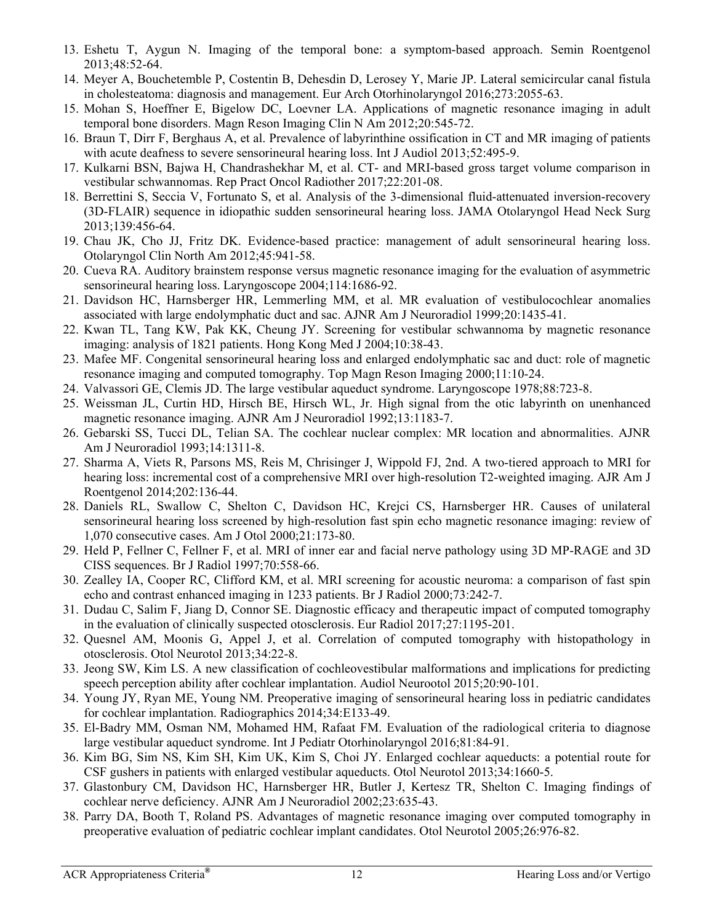- 13. Eshetu T, Aygun N. Imaging of the temporal bone: a symptom-based approach. Semin Roentgenol 2013;48:52-64.
- 14. Meyer A, Bouchetemble P, Costentin B, Dehesdin D, Lerosey Y, Marie JP. Lateral semicircular canal fistula in cholesteatoma: diagnosis and management. Eur Arch Otorhinolaryngol 2016;273:2055-63.
- 15. Mohan S, Hoeffner E, Bigelow DC, Loevner LA. Applications of magnetic resonance imaging in adult temporal bone disorders. Magn Reson Imaging Clin N Am 2012;20:545-72.
- 16. Braun T, Dirr F, Berghaus A, et al. Prevalence of labyrinthine ossification in CT and MR imaging of patients with acute deafness to severe sensorineural hearing loss. Int J Audiol 2013;52:495-9.
- 17. Kulkarni BSN, Bajwa H, Chandrashekhar M, et al. CT- and MRI-based gross target volume comparison in vestibular schwannomas. Rep Pract Oncol Radiother 2017;22:201-08.
- 18. Berrettini S, Seccia V, Fortunato S, et al. Analysis of the 3-dimensional fluid-attenuated inversion-recovery (3D-FLAIR) sequence in idiopathic sudden sensorineural hearing loss. JAMA Otolaryngol Head Neck Surg 2013;139:456-64.
- 19. Chau JK, Cho JJ, Fritz DK. Evidence-based practice: management of adult sensorineural hearing loss. Otolaryngol Clin North Am 2012;45:941-58.
- 20. Cueva RA. Auditory brainstem response versus magnetic resonance imaging for the evaluation of asymmetric sensorineural hearing loss. Laryngoscope 2004;114:1686-92.
- 21. Davidson HC, Harnsberger HR, Lemmerling MM, et al. MR evaluation of vestibulocochlear anomalies associated with large endolymphatic duct and sac. AJNR Am J Neuroradiol 1999;20:1435-41.
- 22. Kwan TL, Tang KW, Pak KK, Cheung JY. Screening for vestibular schwannoma by magnetic resonance imaging: analysis of 1821 patients. Hong Kong Med J 2004;10:38-43.
- 23. Mafee MF. Congenital sensorineural hearing loss and enlarged endolymphatic sac and duct: role of magnetic resonance imaging and computed tomography. Top Magn Reson Imaging 2000;11:10-24.
- 24. Valvassori GE, Clemis JD. The large vestibular aqueduct syndrome. Laryngoscope 1978;88:723-8.
- 25. Weissman JL, Curtin HD, Hirsch BE, Hirsch WL, Jr. High signal from the otic labyrinth on unenhanced magnetic resonance imaging. AJNR Am J Neuroradiol 1992;13:1183-7.
- 26. Gebarski SS, Tucci DL, Telian SA. The cochlear nuclear complex: MR location and abnormalities. AJNR Am J Neuroradiol 1993;14:1311-8.
- 27. Sharma A, Viets R, Parsons MS, Reis M, Chrisinger J, Wippold FJ, 2nd. A two-tiered approach to MRI for hearing loss: incremental cost of a comprehensive MRI over high-resolution T2-weighted imaging. AJR Am J Roentgenol 2014;202:136-44.
- 28. Daniels RL, Swallow C, Shelton C, Davidson HC, Krejci CS, Harnsberger HR. Causes of unilateral sensorineural hearing loss screened by high-resolution fast spin echo magnetic resonance imaging: review of 1,070 consecutive cases. Am J Otol 2000;21:173-80.
- 29. Held P, Fellner C, Fellner F, et al. MRI of inner ear and facial nerve pathology using 3D MP-RAGE and 3D CISS sequences. Br J Radiol 1997;70:558-66.
- 30. Zealley IA, Cooper RC, Clifford KM, et al. MRI screening for acoustic neuroma: a comparison of fast spin echo and contrast enhanced imaging in 1233 patients. Br J Radiol 2000;73:242-7.
- 31. Dudau C, Salim F, Jiang D, Connor SE. Diagnostic efficacy and therapeutic impact of computed tomography in the evaluation of clinically suspected otosclerosis. Eur Radiol 2017;27:1195-201.
- 32. Quesnel AM, Moonis G, Appel J, et al. Correlation of computed tomography with histopathology in otosclerosis. Otol Neurotol 2013;34:22-8.
- 33. Jeong SW, Kim LS. A new classification of cochleovestibular malformations and implications for predicting speech perception ability after cochlear implantation. Audiol Neurootol 2015;20:90-101.
- 34. Young JY, Ryan ME, Young NM. Preoperative imaging of sensorineural hearing loss in pediatric candidates for cochlear implantation. Radiographics 2014;34:E133-49.
- 35. El-Badry MM, Osman NM, Mohamed HM, Rafaat FM. Evaluation of the radiological criteria to diagnose large vestibular aqueduct syndrome. Int J Pediatr Otorhinolaryngol 2016;81:84-91.
- 36. Kim BG, Sim NS, Kim SH, Kim UK, Kim S, Choi JY. Enlarged cochlear aqueducts: a potential route for CSF gushers in patients with enlarged vestibular aqueducts. Otol Neurotol 2013;34:1660-5.
- 37. Glastonbury CM, Davidson HC, Harnsberger HR, Butler J, Kertesz TR, Shelton C. Imaging findings of cochlear nerve deficiency. AJNR Am J Neuroradiol 2002;23:635-43.
- 38. Parry DA, Booth T, Roland PS. Advantages of magnetic resonance imaging over computed tomography in preoperative evaluation of pediatric cochlear implant candidates. Otol Neurotol 2005;26:976-82.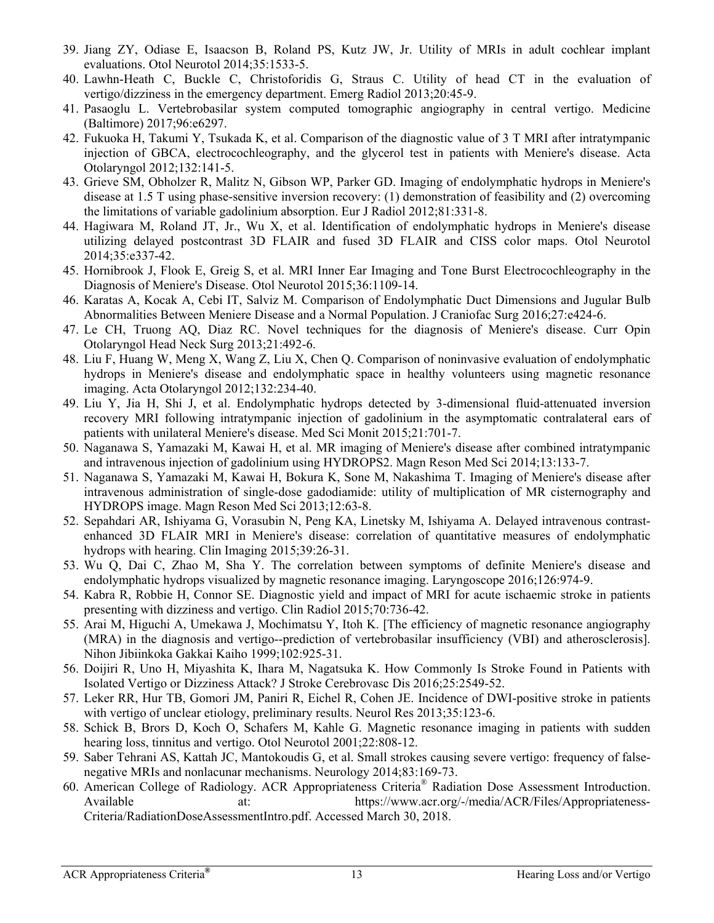- 39. Jiang ZY, Odiase E, Isaacson B, Roland PS, Kutz JW, Jr. Utility of MRIs in adult cochlear implant evaluations. Otol Neurotol 2014;35:1533-5.
- 40. Lawhn-Heath C, Buckle C, Christoforidis G, Straus C. Utility of head CT in the evaluation of vertigo/dizziness in the emergency department. Emerg Radiol 2013;20:45-9.
- 41. Pasaoglu L. Vertebrobasilar system computed tomographic angiography in central vertigo. Medicine (Baltimore) 2017;96:e6297.
- 42. Fukuoka H, Takumi Y, Tsukada K, et al. Comparison of the diagnostic value of 3 T MRI after intratympanic injection of GBCA, electrocochleography, and the glycerol test in patients with Meniere's disease. Acta Otolaryngol 2012;132:141-5.
- 43. Grieve SM, Obholzer R, Malitz N, Gibson WP, Parker GD. Imaging of endolymphatic hydrops in Meniere's disease at 1.5 T using phase-sensitive inversion recovery: (1) demonstration of feasibility and (2) overcoming the limitations of variable gadolinium absorption. Eur J Radiol 2012;81:331-8.
- 44. Hagiwara M, Roland JT, Jr., Wu X, et al. Identification of endolymphatic hydrops in Meniere's disease utilizing delayed postcontrast 3D FLAIR and fused 3D FLAIR and CISS color maps. Otol Neurotol 2014;35:e337-42.
- 45. Hornibrook J, Flook E, Greig S, et al. MRI Inner Ear Imaging and Tone Burst Electrocochleography in the Diagnosis of Meniere's Disease. Otol Neurotol 2015;36:1109-14.
- 46. Karatas A, Kocak A, Cebi IT, Salviz M. Comparison of Endolymphatic Duct Dimensions and Jugular Bulb Abnormalities Between Meniere Disease and a Normal Population. J Craniofac Surg 2016;27:e424-6.
- 47. Le CH, Truong AQ, Diaz RC. Novel techniques for the diagnosis of Meniere's disease. Curr Opin Otolaryngol Head Neck Surg 2013;21:492-6.
- 48. Liu F, Huang W, Meng X, Wang Z, Liu X, Chen Q. Comparison of noninvasive evaluation of endolymphatic hydrops in Meniere's disease and endolymphatic space in healthy volunteers using magnetic resonance imaging. Acta Otolaryngol 2012;132:234-40.
- 49. Liu Y, Jia H, Shi J, et al. Endolymphatic hydrops detected by 3-dimensional fluid-attenuated inversion recovery MRI following intratympanic injection of gadolinium in the asymptomatic contralateral ears of patients with unilateral Meniere's disease. Med Sci Monit 2015;21:701-7.
- 50. Naganawa S, Yamazaki M, Kawai H, et al. MR imaging of Meniere's disease after combined intratympanic and intravenous injection of gadolinium using HYDROPS2. Magn Reson Med Sci 2014;13:133-7.
- 51. Naganawa S, Yamazaki M, Kawai H, Bokura K, Sone M, Nakashima T. Imaging of Meniere's disease after intravenous administration of single-dose gadodiamide: utility of multiplication of MR cisternography and HYDROPS image. Magn Reson Med Sci 2013;12:63-8.
- 52. Sepahdari AR, Ishiyama G, Vorasubin N, Peng KA, Linetsky M, Ishiyama A. Delayed intravenous contrastenhanced 3D FLAIR MRI in Meniere's disease: correlation of quantitative measures of endolymphatic hydrops with hearing. Clin Imaging 2015;39:26-31.
- 53. Wu Q, Dai C, Zhao M, Sha Y. The correlation between symptoms of definite Meniere's disease and endolymphatic hydrops visualized by magnetic resonance imaging. Laryngoscope 2016;126:974-9.
- 54. Kabra R, Robbie H, Connor SE. Diagnostic yield and impact of MRI for acute ischaemic stroke in patients presenting with dizziness and vertigo. Clin Radiol 2015;70:736-42.
- 55. Arai M, Higuchi A, Umekawa J, Mochimatsu Y, Itoh K. [The efficiency of magnetic resonance angiography (MRA) in the diagnosis and vertigo--prediction of vertebrobasilar insufficiency (VBI) and atherosclerosis]. Nihon Jibiinkoka Gakkai Kaiho 1999;102:925-31.
- 56. Doijiri R, Uno H, Miyashita K, Ihara M, Nagatsuka K. How Commonly Is Stroke Found in Patients with Isolated Vertigo or Dizziness Attack? J Stroke Cerebrovasc Dis 2016;25:2549-52.
- 57. Leker RR, Hur TB, Gomori JM, Paniri R, Eichel R, Cohen JE. Incidence of DWI-positive stroke in patients with vertigo of unclear etiology, preliminary results. Neurol Res 2013;35:123-6.
- 58. Schick B, Brors D, Koch O, Schafers M, Kahle G. Magnetic resonance imaging in patients with sudden hearing loss, tinnitus and vertigo. Otol Neurotol 2001;22:808-12.
- 59. Saber Tehrani AS, Kattah JC, Mantokoudis G, et al. Small strokes causing severe vertigo: frequency of falsenegative MRIs and nonlacunar mechanisms. Neurology 2014;83:169-73.
- 60. American College of Radiology. ACR Appropriateness Criteria® Radiation Dose Assessment Introduction. Available at: https://www.acr.org/-/media/ACR/Files/Appropriateness-Criteria/RadiationDoseAssessmentIntro.pdf. Accessed March 30, 2018.